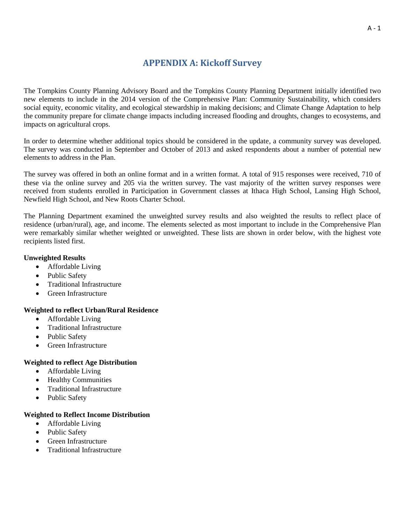# **APPENDIX A: Kickoff Survey**

The Tompkins County Planning Advisory Board and the Tompkins County Planning Department initially identified two new elements to include in the 2014 version of the Comprehensive Plan: Community Sustainability, which considers social equity, economic vitality, and ecological stewardship in making decisions; and Climate Change Adaptation to help the community prepare for climate change impacts including increased flooding and droughts, changes to ecosystems, and impacts on agricultural crops.

In order to determine whether additional topics should be considered in the update, a community survey was developed. The survey was conducted in September and October of 2013 and asked respondents about a number of potential new elements to address in the Plan.

The survey was offered in both an online format and in a written format. A total of 915 responses were received, 710 of these via the online survey and 205 via the written survey. The vast majority of the written survey responses were received from students enrolled in Participation in Government classes at Ithaca High School, Lansing High School, Newfield High School, and New Roots Charter School.

The Planning Department examined the unweighted survey results and also weighted the results to reflect place of residence (urban/rural), age, and income. The elements selected as most important to include in the Comprehensive Plan were remarkably similar whether weighted or unweighted. These lists are shown in order below, with the highest vote recipients listed first.

#### **Unweighted Results**

- Affordable Living
- Public Safety
- Traditional Infrastructure
- Green Infrastructure

### **Weighted to reflect Urban/Rural Residence**

- Affordable Living
- Traditional Infrastructure
- Public Safety
- Green Infrastructure

#### **Weighted to reflect Age Distribution**

- Affordable Living
- Healthy Communities
- Traditional Infrastructure
- Public Safety

#### **Weighted to Reflect Income Distribution**

- Affordable Living
- Public Safety
- **•** Green Infrastructure
- Traditional Infrastructure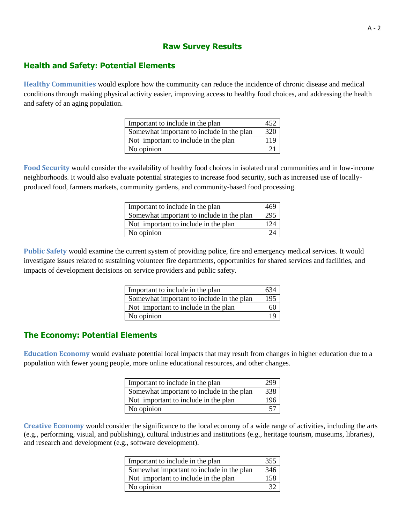## **Raw Survey Results**

## **Health and Safety: Potential Elements**

**Healthy Communities** would explore how the community can reduce the incidence of chronic disease and medical conditions through making physical activity easier, improving access to healthy food choices, and addressing the health and safety of an aging population.

| Important to include in the plan          | 452 |
|-------------------------------------------|-----|
| Somewhat important to include in the plan | 320 |
| Not important to include in the plan      | 119 |
| No opinion                                |     |

**Food Security** would consider the availability of healthy food choices in isolated rural communities and in low-income neighborhoods. It would also evaluate potential strategies to increase food security, such as increased use of locallyproduced food, farmers markets, community gardens, and community-based food processing.

| Important to include in the plan          | 469             |
|-------------------------------------------|-----------------|
| Somewhat important to include in the plan | 295             |
| Not important to include in the plan      | 12 <sub>4</sub> |
| No opinion                                |                 |

**Public Safety** would examine the current system of providing police, fire and emergency medical services. It would investigate issues related to sustaining volunteer fire departments, opportunities for shared services and facilities, and impacts of development decisions on service providers and public safety.

| Important to include in the plan          |     |
|-------------------------------------------|-----|
| Somewhat important to include in the plan | 195 |
| Not important to include in the plan      | hU  |
| No opinion                                |     |

## **The Economy: Potential Elements**

**Education Economy** would evaluate potential local impacts that may result from changes in higher education due to a population with fewer young people, more online educational resources, and other changes.

| Important to include in the plan          |     |
|-------------------------------------------|-----|
| Somewhat important to include in the plan | 338 |
| Not important to include in the plan      |     |
| No opinion                                |     |

**Creative Economy** would consider the significance to the local economy of a wide range of activities, including the arts (e.g., performing, visual, and publishing), cultural industries and institutions (e.g., heritage tourism, museums, libraries), and research and development (e.g., software development).

| Important to include in the plan          | 355 |
|-------------------------------------------|-----|
| Somewhat important to include in the plan | 346 |
| Not important to include in the plan      | 158 |
| No opinion                                |     |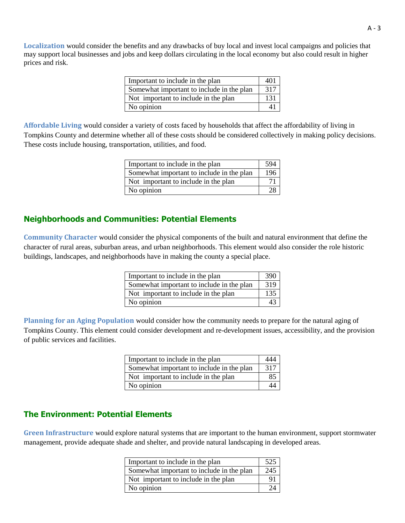**Localization** would consider the benefits and any drawbacks of buy local and invest local campaigns and policies that may support local businesses and jobs and keep dollars circulating in the local economy but also could result in higher prices and risk.

| Important to include in the plan          | 401 |
|-------------------------------------------|-----|
| Somewhat important to include in the plan | 317 |
| Not important to include in the plan      | 131 |
| No opinion                                |     |

**Affordable Living** would consider a variety of costs faced by households that affect the affordability of living in Tompkins County and determine whether all of these costs should be considered collectively in making policy decisions. These costs include housing, transportation, utilities, and food.

| Important to include in the plan          |     |
|-------------------------------------------|-----|
| Somewhat important to include in the plan | 196 |
| Not important to include in the plan      |     |
| No opinion                                |     |

## **Neighborhoods and Communities: Potential Elements**

**Community Character** would consider the physical components of the built and natural environment that define the character of rural areas, suburban areas, and urban neighborhoods. This element would also consider the role historic buildings, landscapes, and neighborhoods have in making the county a special place.

| Important to include in the plan          | 390 |
|-------------------------------------------|-----|
| Somewhat important to include in the plan | 319 |
| Not important to include in the plan      | 135 |
| No opinion                                |     |

**Planning for an Aging Population** would consider how the community needs to prepare for the natural aging of Tompkins County. This element could consider development and re-development issues, accessibility, and the provision of public services and facilities.

| Important to include in the plan          |     |
|-------------------------------------------|-----|
| Somewhat important to include in the plan | 317 |
| Not important to include in the plan      |     |
| No opinion                                |     |

## **The Environment: Potential Elements**

**Green Infrastructure** would explore natural systems that are important to the human environment, support stormwater management, provide adequate shade and shelter, and provide natural landscaping in developed areas.

| Important to include in the plan          |     |
|-------------------------------------------|-----|
| Somewhat important to include in the plan | 245 |
| Not important to include in the plan      |     |
| No opinion                                |     |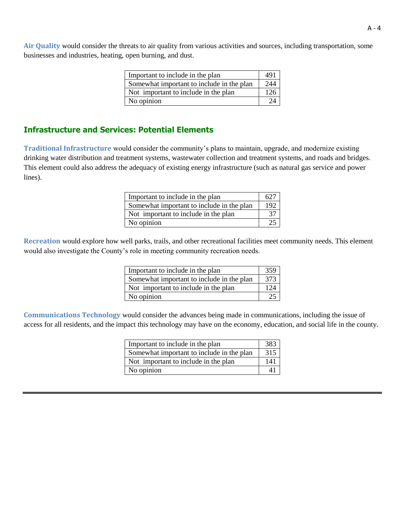**Air Quality** would consider the threats to air quality from various activities and sources, including transportation, some businesses and industries, heating, open burning, and dust.

| Important to include in the plan          | 491 |
|-------------------------------------------|-----|
| Somewhat important to include in the plan | 244 |
| Not important to include in the plan      | 126 |
| No opinion                                |     |

## **Infrastructure and Services: Potential Elements**

**Traditional Infrastructure** would consider the community's plans to maintain, upgrade, and modernize existing drinking water distribution and treatment systems, wastewater collection and treatment systems, and roads and bridges. This element could also address the adequacy of existing energy infrastructure (such as natural gas service and power lines).

| Important to include in the plan          |     |
|-------------------------------------------|-----|
| Somewhat important to include in the plan | 192 |
| Not important to include in the plan      |     |
| No opinion                                |     |

**Recreation** would explore how well parks, trails, and other recreational facilities meet community needs. This element would also investigate the County's role in meeting community recreation needs.

| Important to include in the plan          | 359             |
|-------------------------------------------|-----------------|
| Somewhat important to include in the plan | 373             |
| Not important to include in the plan      | 12 <sub>A</sub> |
| No opinion                                |                 |

**Communications Technology** would consider the advances being made in communications, including the issue of access for all residents, and the impact this technology may have on the economy, education, and social life in the county.

| Important to include in the plan          | 383 |
|-------------------------------------------|-----|
| Somewhat important to include in the plan | 315 |
| Not important to include in the plan      | 141 |
| No opinion                                |     |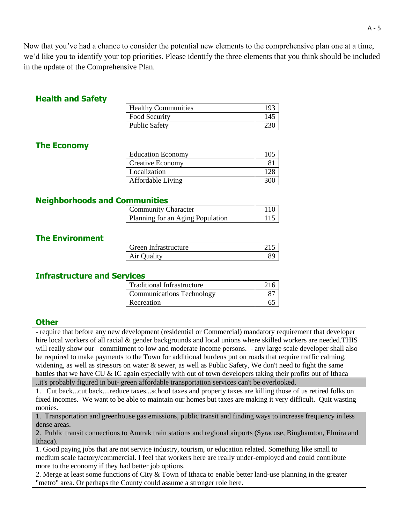Now that you've had a chance to consider the potential new elements to the comprehensive plan one at a time, we'd like you to identify your top priorities. Please identify the three elements that you think should be included in the update of the Comprehensive Plan.

## **Health and Safety**

| <b>Healthy Communities</b> |     |
|----------------------------|-----|
| Food Security              | 14. |
| <b>Public Safety</b>       |     |

## **The Economy**

| <b>Education Economy</b> | 105 |
|--------------------------|-----|
| <b>Creative Economy</b>  |     |
| Localization             | 128 |
| Affordable Living        | 300 |
|                          |     |

## **Neighborhoods and Communities**

| <b>Community Character</b>       | 110 |
|----------------------------------|-----|
| Planning for an Aging Population |     |

## **The Environment**

| Green Infrastructure |  |
|----------------------|--|
| Air Ouality          |  |

## **Infrastructure and Services**

| <b>Traditional Infrastructure</b> |  |
|-----------------------------------|--|
| Communications Technology         |  |
| Recreation                        |  |

## **Other**

- require that before any new development (residential or Commercial) mandatory requirement that developer hire local workers of all racial & gender backgrounds and local unions where skilled workers are needed.THIS will really show our commitment to low and moderate income persons. - any large scale developer shall also be required to make payments to the Town for additional burdens put on roads that require traffic calming, widening, as well as stressors on water  $\&$  sewer, as well as Public Safety, We don't need to fight the same battles that we have CU & IC again especially with out of town developers taking their profits out of Ithaca

..it's probably figured in but- green affordable transportation services can't be overlooked.

1. Cut back...cut back....reduce taxes...school taxes and property taxes are killing those of us retired folks on fixed incomes. We want to be able to maintain our homes but taxes are making it very difficult. Quit wasting monies.

1. Transportation and greenhouse gas emissions, public transit and finding ways to increase frequency in less dense areas.

2. Public transit connections to Amtrak train stations and regional airports (Syracuse, Binghamton, Elmira and Ithaca).

1. Good paying jobs that are not service industry, tourism, or education related. Something like small to medium scale factory/commercial. I feel that workers here are really under-employed and could contribute more to the economy if they had better job options.

2. Merge at least some functions of City & Town of Ithaca to enable better land-use planning in the greater "metro" area. Or perhaps the County could assume a stronger role here.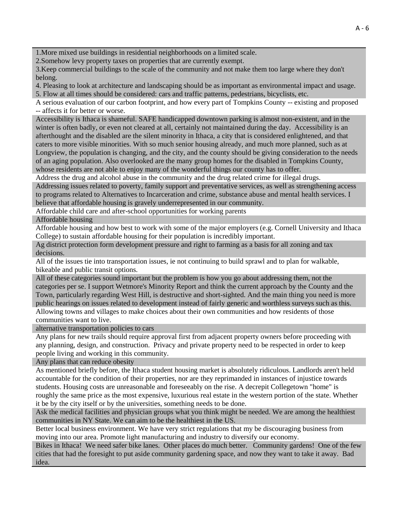1.More mixed use buildings in residential neighborhoods on a limited scale.

2.Somehow levy property taxes on properties that are currently exempt.

3.Keep commercial buildings to the scale of the community and not make them too large where they don't belong.

4. Pleasing to look at architecture and landscaping should be as important as environmental impact and usage.

5. Flow at all times should be considered: cars and traffic patterns, pedestrians, bicyclists, etc.

A serious evaluation of our carbon footprint, and how every part of Tompkins County -- existing and proposed -- affects it for better or worse.

Accessibility is Ithaca is shameful. SAFE handicapped downtown parking is almost non-existent, and in the winter is often badly, or even not cleared at all, certainly not maintained during the day. Accessibility is an afterthought and the disabled are the silent minority in Ithaca, a city that is considered enlightened, and that caters to more visible minorities. With so much senior housing already, and much more planned, such as at Longview, the population is changing, and the city, and the county should be giving consideration to the needs of an aging population. Also overlooked are the many group homes for the disabled in Tompkins County, whose residents are not able to enjoy many of the wonderful things our county has to offer.

Address the drug and alcohol abuse in the community and the drug related crime for illegal drugs.

Addressing issues related to poverty, family support and preventative services, as well as strengthening access to programs related to Alternatives to Incarceration and crime, substance abuse and mental health services. I believe that affordable housing is gravely underrepresented in our community.

Affordable child care and after-school opportunities for working parents

Affordable housing

Affordable housing and how best to work with some of the major employers (e.g. Cornell University and Ithaca College) to sustain affordable housing for their population is incredibly important.

Ag district protection form development pressure and right to farming as a basis for all zoning and tax decisions.

All of the issues tie into transportation issues, ie not continuing to build sprawl and to plan for walkable, bikeable and public transit options.

All of these categories sound important but the problem is how you go about addressing them, not the categories per se. I support Wetmore's Minority Report and think the current approach by the County and the Town, particularly regarding West Hill, is destructive and short-sighted. And the main thing you need is more public hearings on issues related to development instead of fairly generic and worthless surveys such as this.

Allowing towns and villages to make choices about their own communities and how residents of those communities want to live.

alternative transportation policies to cars

Any plans for new trails should require approval first from adjacent property owners before proceeding with any planning, design, and construction. Privacy and private property need to be respected in order to keep people living and working in this community.

Any plans that can reduce obesity

As mentioned briefly before, the Ithaca student housing market is absolutely ridiculous. Landlords aren't held accountable for the condition of their properties, nor are they reprimanded in instances of injustice towards students. Housing costs are unreasonable and foreseeably on the rise. A decrepit Collegetown "home" is roughly the same price as the most expensive, luxurious real estate in the western portion of the state. Whether it be by the city itself or by the universities, something needs to be done.

Ask the medical facilities and physician groups what you think might be needed. We are among the healthiest communities in NY State. We can aim to be the healthiest in the US.

Better local business environment. We have very strict regulations that my be discouraging business from moving into our area. Promote light manufacturing and industry to diversify our economy.

Bikes in Ithaca! We need safer bike lanes. Other places do much better. Community gardens! One of the few cities that had the foresight to put aside community gardening space, and now they want to take it away. Bad idea.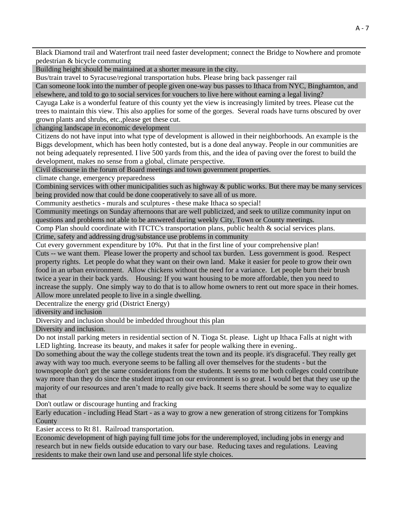Black Diamond trail and Waterfront trail need faster development; connect the Bridge to Nowhere and promote pedestrian & bicycle commuting

Building height should be maintained at a shorter measure in the city.

Bus/train travel to Syracuse/regional transportation hubs. Please bring back passenger rail

Can someone look into the number of people given one-way bus passes to Ithaca from NYC, Binghamton, and elsewhere, and told to go to social services for vouchers to live here without earning a legal living?

Cayuga Lake is a wonderful feature of this county yet the view is increasingly limited by trees. Please cut the trees to maintain this view. This also applies for some of the gorges. Several roads have turns obscured by over grown plants and shrubs, etc.,please get these cut.

changing landscape in economic development

Citizens do not have input into what type of development is allowed in their neighborhoods. An example is the Biggs development, which has been hotly contested, but is a done deal anyway. People in our communities are not being adequately represented. I live 500 yards from this, and the idea of paving over the forest to build the development, makes no sense from a global, climate perspective.

Civil discourse in the forum of Board meetings and town government properties.

climate change, emergency preparedness

Combining services with other municipalities such as highway & public works. But there may be many services being provided now that could be done cooperatively to save all of us more.

Community aesthetics - murals and sculptures - these make Ithaca so special!

Community meetings on Sunday afternoons that are well publicized, and seek to utilize community input on questions and problems not able to be answered during weekly City, Town or County meetings.

Comp Plan should coordinate with ITCTC's transportation plans, public health & social services plans.

Crime, safety and addressing drug/substance use problems in community

Cut every government expenditure by 10%. Put that in the first line of your comprehensive plan!

Cuts -- we want them. Please lower the property and school tax burden. Less government is good. Respect property rights. Let people do what they want on their own land. Make it easier for peole to grow their own food in an urban environment. Allow chickens without the need for a variance. Let people burn their brush twice a year in their back yards. Housing: If you want housing to be more affordable, then you need to increase the supply. One simply way to do that is to allow home owners to rent out more space in their homes. Allow more unrelated people to live in a single dwelling.

Decentralize the energy grid (District Energy)

diversity and inclusion

Diversity and inclusion should be imbedded throughout this plan

Diversity and inclusion.

Do not install parking meters in residential section of N. Tioga St. please. Light up Ithaca Falls at night with LED lighting. Increase its beauty, and makes it safer for people walking there in evening..

Do something about the way the college students treat the town and its people. it's disgraceful. They really get away with way too much. everyone seems to be falling all over themselves for the students - but the townspeople don't get the same considerations from the students. It seems to me both colleges could contribute way more than they do since the student impact on our environment is so great. I would bet that they use up the majority of our resources and aren't made to really give back. It seems there should be some way to equalize that

Don't outlaw or discourage hunting and fracking

Early education - including Head Start - as a way to grow a new generation of strong citizens for Tompkins **County** 

Easier access to Rt 81. Railroad transportation.

Economic development of high paying full time jobs for the underemployed, including jobs in energy and research but in new fields outside education to vary our base. Reducing taxes and regulations. Leaving residents to make their own land use and personal life style choices.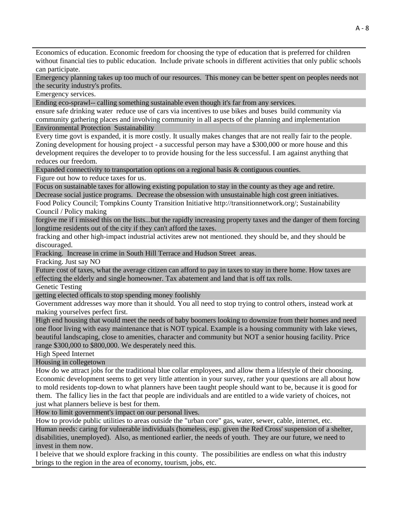Economics of education. Economic freedom for choosing the type of education that is preferred for children without financial ties to public education. Include private schools in different activities that only public schools can participate.

Emergency planning takes up too much of our resources. This money can be better spent on peoples needs not the security industry's profits.

Emergency services.

Ending eco-sprawl-- calling something sustainable even though it's far from any services.

ensure safe drinking water reduce use of cars via incentives to use bikes and buses build community via community gathering places and involving community in all aspects of the planning and implementation Environmental Protection Sustainability

Every time govt is expanded, it is more costly. It usually makes changes that are not really fair to the people. Zoning development for housing project - a successful person may have a \$300,000 or more house and this development requires the developer to to provide housing for the less successful. I am against anything that reduces our freedom.

Expanded connectivity to transportation options on a regional basis & contiguous counties.

Figure out how to reduce taxes for us.

Focus on sustainable taxes for allowing existing population to stay in the county as they age and retire.

Decrease social justice programs. Decrease the obsession with unsustainable high cost green initiatives. Food Policy Council; Tompkins County Transition Initiative http://transitionnetwork.org/; Sustainability Council / Policy making

forgive me if i missed this on the lists...but the rapidly increasing property taxes and the danger of them forcing longtime residents out of the city if they can't afford the taxes.

fracking and other high-impact industrial activites arew not mentioned. they should be, and they should be discouraged.

Fracking. Increase in crime in South Hill Terrace and Hudson Street areas.

Fracking. Just say NO

Future cost of taxes, what the average citizen can afford to pay in taxes to stay in there home. How taxes are effecting the elderly and single homeowner. Tax abatement and land that is off tax rolls.

Genetic Testing

getting elected officals to stop spending money foolishly

Government addresses way more than it should. You all need to stop trying to control others, instead work at making yourselves perfect first.

High end housing that would meet the needs of baby boomers looking to downsize from their homes and need one floor living with easy maintenance that is NOT typical. Example is a housing community with lake views, beautiful landscaping, close to amenities, character and community but NOT a senior housing facility. Price range \$300,000 to \$800,000. We desperately need this.

High Speed Internet

Housing in collegetown

How do we attract jobs for the traditional blue collar employees, and allow them a lifestyle of their choosing. Economic development seems to get very little attention in your survey, rather your questions are all about how to mold residents top-down to what planners have been taught people should want to be, because it is good for them. The fallicy lies in the fact that people are individuals and are entitled to a wide variety of choices, not just what planners believe is best for them.

How to limit government's impact on our personal lives.

How to provide public utilities to areas outside the "urban core" gas, water, sewer, cable, internet, etc. Human needs: caring for vulnerable individuals (homeless, esp. given the Red Cross' suspension of a shelter, disabilities, unemployed). Also, as mentioned earlier, the needs of youth. They are our future, we need to invest in them now.

I beleive that we should explore fracking in this county. The possibilities are endless on what this industry brings to the region in the area of economy, tourism, jobs, etc.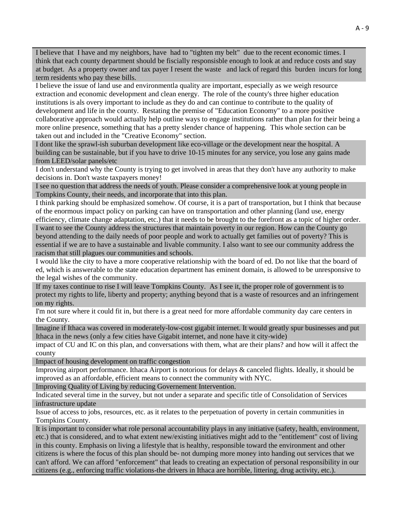I believe that I have and my neighbors, have had to "tighten my belt" due to the recent economic times. I think that each county department should be fiscially responsisble enough to look at and reduce costs and stay at budget. As a property owner and tax payer I resent the waste and lack of regard this burden incurs for long term residents who pay these bills.

I believe the issue of land use and environmentla quality are important, especially as we weigh resource extraction and economic development and clean energy. The role of the county's three higher education institutions is als overy important to include as they do and can continue to contribute to the quality of development and life in the county. Restating the premise of "Education Economy" to a more positive collaborative approach would actually help outline ways to engage institutions rather than plan for their being a more online presence, something that has a pretty slender chance of happening. This whole section can be taken out and included in the "Creative Economy" section.

I dont like the sprawl-ish suburban development like eco-village or the development near the hospital. A building can be sustainable, but if you have to drive 10-15 minutes for any service, you lose any gains made from LEED/solar panels/etc

I don't understand why the County is trying to get involved in areas that they don't have any authority to make decisions in. Don't waste taxpayers money!

I see no question that address the needs of youth. Please consider a comprehensive look at young people in Tompkins County, their needs, and incorporate that into this plan.

I think parking should be emphasized somehow. Of course, it is a part of transportation, but I think that because of the enormous impact policy on parking can have on transportation and other planning (land use, energy efficiency, climate change adaptation, etc.) that it needs to be brought to the forefront as a topic of higher order. I want to see the County address the structures that maintain poverty in our region. How can the County go beyond attending to the daily needs of poor people and work to actually get families out of poverty? This is essential if we are to have a sustainable and livable community. I also want to see our community address the racism that still plagues our communities and schools.

I would like the city to have a more cooperative relationship with the board of ed. Do not like that the board of ed, which is answerable to the state education department has eminent domain, is allowed to be unresponsive to the legal wishes of the community.

If my taxes continue to rise I will leave Tompkins County. As I see it, the proper role of government is to protect my rights to life, liberty and property; anything beyond that is a waste of resources and an infringement on my rights.

I'm not sure where it could fit in, but there is a great need for more affordable community day care centers in the County.

Imagine if Ithaca was covered in moderately-low-cost gigabit internet. It would greatly spur businesses and put Ithaca in the news (only a few cities have Gigabit internet, and none have it city-wide)

impact of CU and IC on this plan, and conversations with them, what are their plans? and how will it affect the county

Impact of housing development on traffic congestion

Improving airport performance. Ithaca Airport is notorious for delays & canceled flights. Ideally, it should be improved as an affordable, efficient means to connect the community with NYC.

Improving Quality of Living by reducing Governement Intervention.

Indicated several time in the survey, but not under a separate and specific title of Consolidation of Services infrastructure update

Issue of access to jobs, resources, etc. as it relates to the perpetuation of poverty in certain communities in Tompkins County.

It is important to consider what role personal accountability plays in any initiative (safety, health, environment, etc.) that is considered, and to what extent new/existing initiatives might add to the "entitlement" cost of living in this county. Emphasis on living a lifestyle that is healthy, responsible toward the environment and other citizens is where the focus of this plan should be- not dumping more money into handing out services that we can't afford. We can afford "enforcement" that leads to creating an expectation of personal responsibility in our citizens (e.g., enforcing traffic violations-the drivers in Ithaca are horrible, littering, drug activity, etc.).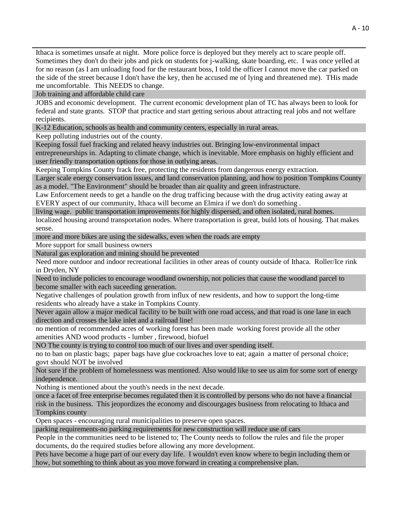Ithaca is sometimes unsafe at night. More police force is deployed but they merely act to scare people off. Sometimes they don't do their jobs and pick on students for j-walking, skate boarding, etc. I was once yelled at for no reason (as I am unloading food for the restaurant boss, I told the officer I cannot move the car parked on the side of the street because I don't have the key, then he accused me of lying and threatened me). THis made me uncomfortable. This NEEDS to change.

Job training and affordable child care

JOBS and economic development. The current economic development plan of TC has always been to look for federal and state grants. STOP that practice and start getting serious about attracting real jobs and not welfare recipients.

K-12 Education, schools as health and community centers, especially in rural areas.

Keep polluting industries out of the county.

Keeping fossil fuel fracking and related heavy industries out. Bringing low-environmental impact entrepreneurships in. Adapting to climate change, which is inevitable. More emphasis on highly efficient and user friendly transportation options for those in outlying areas.

Keeping Tompkins County frack free, protecting the residents from dangerous energy extraction.

Larger scale energy conservation issues, and land conservation planning, and how to position Tompkins County as a model. "The Environment" should be broader than air quality and green infrastructure.

Law Enforcement needs to get a handle on the drug trafficing because with the drug activity eating away at EVERY aspect of our community, Ithaca will become an Elmira if we don't do something .

living wage. public transportation improvements for highly dispersed, and often isolated, rural homes.

localized housing around transportation nodes. Where transportation is great, build lots of housing. That makes sense.

more and more bikes are using the sidewalks, even when the roads are empty

More support for small business owners

Natural gas exploration and mining should be prevented

Need more outdoor and indoor recreational facilities in other areas of county outside of Ithaca. Roller/Ice rink in Dryden, NY

Need to include policies to encourage woodland ownership, not policies that cause the woodland parcel to become smaller with each suceeding generation.

Negative challenges of poulation growth from influx of new residents, and how to support the long-time residents who already have a stake in Tompkins County.

Never again allow a major medical facility to be built with one road access, and that road is one lane in each direction and crosses the lake inlet and a railroad line!

no mention of recommended acres of working forest has been made working forest provide all the other amenities AND wood products - lumber , firewood, biofuel

NO The county is trying to control too much of our lives and over spending itself.

no to ban on plastic bags; paper bags have glue cockroaches love to eat; again a matter of personal choice; govt should NOT be involved

Not sure if the problem of homelessness was mentioned. Also would like to see us aim for some sort of energy independence.

Nothing is mentioned about the youth's needs in the next decade.

once a facet of free enterprise becomes regulated then it is controlled by persons who do not have a financial risk in the business. This jeopordizes the economy and discourgages business from relocating to Ithaca and Tompkins county

Open spaces - encouraging rural municipalities to preserve open spaces.

parking requirements-no parking requirements for new construction will reduce use of cars

People in the communities need to be listened to; The County needs to follow the rules and file the proper documents, do the required studies before allowing any more development.

Pets have become a huge part of our every day life. I wouldn't even know where to begin including them or how, but something to think about as you move forward in creating a comprehensive plan.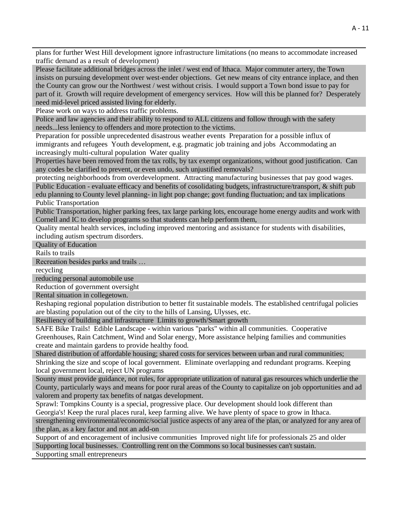plans for further West Hill development ignore infrastructure limitations (no means to accommodate increased traffic demand as a result of development)

Please facilitate additional bridges across the inlet / west end of Ithaca. Major commuter artery, the Town insists on pursuing development over west-ender objections. Get new means of city entrance inplace, and then the County can grow our the Northwest / west without crisis. I would support a Town bond issue to pay for part of it. Growth will require development of emergency services. How will this be planned for? Desperately need mid-level priced assisted living for elderly.

Please work on ways to address traffic problems.

Police and law agencies and their ability to respond to ALL citizens and follow through with the safety needs...less leniency to offenders and more protection to the victims.

Preparation for possible unprecedented disastrous weather events Preparation for a possible influx of immigrants and refugees Youth development, e.g. pragmatic job training and jobs Accommodating an increasingly multi-cultural population Water quality

Properties have been removed from the tax rolls, by tax exempt organizations, without good justification. Can any codes be clarified to prevent, or even undo, such unjustified removals?

protecting neighborhoods from overdevelopment. Attracting manufacturing businesses that pay good wages. Public Education - evaluate efficacy and benefits of cosolidating budgets, infrastructure/transport, & shift pub edu planning to County level planning- in light pop change; govt funding fluctuation; and tax implications Public Transportation

Public Transportation, higher parking fees, tax large parking lots, encourage home energy audits and work with Cornell and IC to develop programs so that students can help perform them,

Quality mental health services, including improved mentoring and assistance for students with disabilities, including autism spectrum disorders.

Quality of Education

Rails to trails

Recreation besides parks and trails …

recycling

reducing personal automobile use

Reduction of government oversight

Rental situation in collegetown.

Reshaping regional population distribution to better fit sustainable models. The established centrifugal policies are blasting population out of the city to the hills of Lansing, Ulysses, etc.

Resiliency of building and infrastructure Limits to growth/Smart growth

SAFE Bike Trails! Edible Landscape - within various "parks" within all communities. Cooperative Greenhouses, Rain Catchment, Wind and Solar energy, More assistance helping families and communities create and maintain gardens to provide healthy food.

Shared distribution of affordable housing; shared costs for services between urban and rural communities; Shrinking the size and scope of local government. Eliminate overlapping and redundant programs. Keeping local government local, reject UN programs

Sounty must provide guidance, not rules, for appropriate utilization of natural gas resources which underlie the County, particularly ways and means for poor rural areas of the County to capitalize on job opportunities and ad valorem and property tax benefits of natgas development.

Sprawl: Tompkins County is a special, progressive place. Our development should look different than Georgia's! Keep the rural places rural, keep farming alive. We have plenty of space to grow in Ithaca. strengthening environmental/economic/social justice aspects of any area of the plan, or analyzed for any area of the plan, as a key factor and not an add-on

Support of and encoragement of inclusive communities Improved night life for professionals 25 and older Supporting local businesses. Controlling rent on the Commons so local businesses can't sustain.

Supporting small entrepreneurs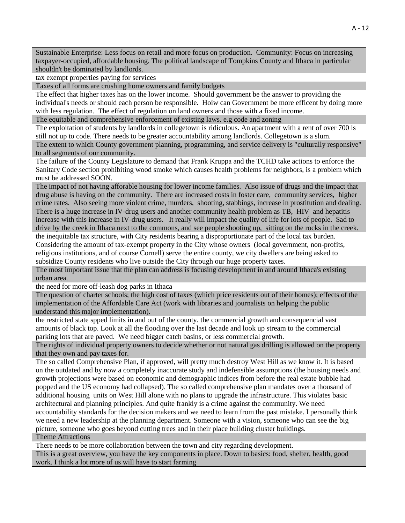Sustainable Enterprise: Less focus on retail and more focus on production. Community: Focus on increasing taxpayer-occupied, affordable housing. The political landscape of Tompkins County and Ithaca in particular shouldn't be dominated by landlords.

tax exempt properties paying for services

Taxes of all forms are crushing home owners and family budgets

The effect that higher taxes has on the lower income. Should government be the answer to providing the individual's needs or should each person be responsible. Hoiw can Government be more efficent by doing more with less regulation. The effect of regulation on land owners and those with a fixed income.

The equitable and comprehensive enforcement of existing laws. e.g code and zoning

The exploitation of students by landlords in collegetown is ridiculous. An apartment with a rent of over 700 is still not up to code. There needs to be greater accountability among landlords. Collegetown is a slum.

The extent to which County government planning, programming, and service delivery is "culturally responsive" to all segments of our community.

The failure of the County Legislature to demand that Frank Kruppa and the TCHD take actions to enforce the Sanitary Code section prohibiting wood smoke which causes health problems for neighbors, is a problem which must be addressed SOON.

The impact of not having afforable housing for lower income families. Also issue of drugs and the impact that drug abuse is having on the community. There are increased costs in foster care, community services, higher crime rates. Also seeing more violent crime, murders, shooting, stabbings, increase in prostitution and dealing. There is a huge increase in IV-drug users and another community health problem as TB, HIV and hepatitis increase with this increase in IV-drug users. It really will impact the quality of life for lots of people. Sad to drive by the creek in Ithaca next to the commons, and see people shooting up, sitting on the rocks in the creek.

the inequitable tax structure, with City residents bearing a disproportionate part of the local tax burden. Considering the amount of tax-exempt property in the City whose owners (local government, non-profits, religious institutions, and of course Cornell) serve the entire county, we city dwellers are being asked to subsidize County residents who live outside the City through our huge property taxes.

The most important issue that the plan can address is focusing development in and around Ithaca's existing urban area.

the need for more off-leash dog parks in Ithaca

The question of charter schools; the high cost of taxes (which price residents out of their homes); effects of the implementation of the Affordable Care Act (work with libraries and journalists on helping the public understand this major implementation).

the restricted state spped limits in and out of the county. the commercial growth and consequencial vast amounts of black top. Look at all the flooding over the last decade and look up stream to the commercial parking lots that are paved. We need bigger catch basins, or less commercial growth.

The rights of individual property owners to decide whether or not natural gas drilling is allowed on the property that they own and pay taxes for.

The so called Comprehensive Plan, if approved, will pretty much destroy West Hill as we know it. It is based on the outdated and by now a completely inaccurate study and indefensible assumptions (the housing needs and growth projections were based on economic and demographic indices from before the real estate bubble had popped and the US economy had collapsed). The so called comprehensive plan mandates over a thousand of additional housing units on West Hill alone with no plans to upgrade the infrastructure. This violates basic architectural and planning principles. And quite frankly is a crime against the community. We need accountability standards for the decision makers and we need to learn from the past mistake. I personally think we need a new leadership at the planning department. Someone with a vision, someone who can see the big picture, someone who goes beyond cutting trees and in their place building cluster buildings. Theme Attractions

There needs to be more collaboration between the town and city regarding development. This is a great overview, you have the key components in place. Down to basics: food, shelter, health, good work. I think a lot more of us will have to start farming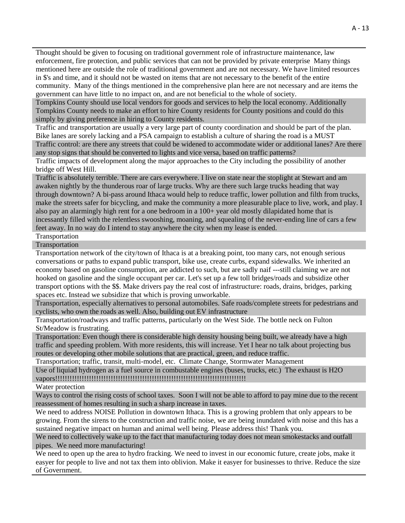Thought should be given to focusing on traditional government role of infrastructure maintenance, law enforcement, fire protection, and public services that can not be provided by private enterprise Many things mentioned here are outside the role of traditional government and are not necessary. We have limited resources in \$'s and time, and it should not be wasted on items that are not necessary to the benefit of the entire community. Many of the things mentioned in the comprehensive plan here are not necessary and are items the government can have little to no impact on, and are not beneficial to the whole of society.

Tompkins County should use local vendors for goods and services to help the local economy. Additionally Tompkins County needs to make an effort to hire County residents for County positions and could do this simply by giving preference in hiring to County residents.

Traffic and transportation are usually a very large part of county coordination and should be part of the plan. Bike lanes are sorely lacking and a PSA campaign to establish a culture of sharing the road is a MUST Traffic control: are there any streets that could be widened to accommodate wider or additional lanes? Are there

any stop signs that should be converted to lights and vice versa, based on traffic patterns?

Traffic impacts of development along the major approaches to the City including the possibility of another bridge off West Hill.

Traffic is absolutely terrible. There are cars everywhere. I live on state near the stoplight at Stewart and am awaken nightly by the thunderous roar of large trucks. Why are there such large trucks heading that way through downtown? A bi-pass around Ithaca would help to reduce traffic, lower pollution and filth from trucks, make the streets safer for bicycling, and make the community a more pleasurable place to live, work, and play. I also pay an alarmingly high rent for a one bedroom in a 100+ year old mostly dilapidated home that is incessantly filled with the relentless swooshing, moaning, and squealing of the never-ending line of cars a few feet away. In no way do I intend to stay anywhere the city when my lease is ended.

Transportation

Transportation

Transportation network of the city/town of Ithaca is at a breaking point, too many cars, not enough serious conversations or paths to expand public transport, bike use, create curbs, expand sidewalks. We inherited an economy based on gasoline consumption, are addicted to such, but are sadly naif ---still claiming we are not hooked on gasoline and the single occupant per car. Let's set up a few toll bridges/roads and subsidize other transport options with the \$\$. Make drivers pay the real cost of infrastructure: roads, drains, bridges, parking spaces etc. Instead we subsidize that which is proving unworkable.

Transportation, especially alternatives to personal automobiles. Safe roads/complete streets for pedestrians and cyclists, who own the roads as well. Also, building out EV infrastructure

Transportation/roadways and traffic patterns, particularly on the West Side. The bottle neck on Fulton St/Meadow is frustrating.

Transportation: Even though there is considerable high density housing being built, we already have a high traffic and speeding problem. With more residents, this will increase. Yet I hear no talk about projecting bus routes or developing other mobile solutions that are practical, green, and reduce traffic.

Transportation; traffic, transit, multi-model, etc. Climate Change, Stormwater Management

Use of liquiad hydrogen as a fuel source in combustable engines (buses, trucks, etc.) The exhaust is H2O vapors!!!!!!!!!!!!!!!!!!!!!!!!!!!!!!!!!!!!!!!!!!!!!!!!!!!!!!!!!!!!!!!!!!!!!!!!!!!!!!!

Water protection

Ways to control the rising costs of school taxes. Soon I will not be able to afford to pay mine due to the recent reassessment of homes resulting in such a sharp increase in taxes.

We need to address NOISE Pollution in downtown Ithaca. This is a growing problem that only appears to be growing. From the sirens to the construction and traffic noise, we are being inundated with noise and this has a sustained negative impact on human and animal well being. Please address this! Thank you.

We need to collectively wake up to the fact that manufacturing today does not mean smokestacks and outfall pipes. We need more manufacturing!

We need to open up the area to hydro fracking. We need to invest in our economic future, create jobs, make it easyer for people to live and not tax them into oblivion. Make it easyer for businesses to thrive. Reduce the size of Government.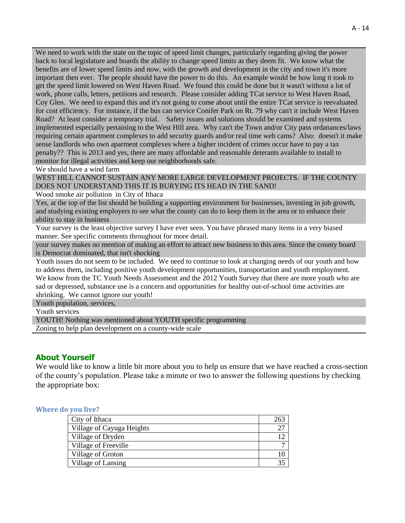We need to work with the state on the topic of speed limit changes, particularly regarding giving the power back to local legislature and boards the ability to change speed limits as they deem fit. We know what the benefits are of lower speed limits and now, with the growth and development in the city and town it's more important then ever. The people should have the power to do this. An example would be how long it took to get the speed limit lowered on West Haven Road. We found this could be done but it wasn't without a lot of work, phone calls, letters, petitions and research. Please consider adding TCat service to West Haven Road, Coy Glen. We need to expand this and it's not going to come about until the entire TCat service is reevaluated for cost efficiency. For instance, if the bus can service Conifer Park on Rt. 79 why can't it include West Haven Road? At least consider a temporary trial. Safety issues and solutions should be examined and systems implemented especially pertaining to the West Hill area. Why can't the Town and/or City pass ordanances/laws requiring certain apartment complexes to add security guards and/or real time web cams? Also: doesn't it make sense landlords who own aparment complexes where a higher incident of crimes occur have to pay a tax penalty?? This is 2013 and yes, there are many affordable and reasonable deterants available to install to monitor for illegal activities and keep our neighborhoods safe.

We should have a wind farm

WEST HILL CANNOT SUSTAIN ANY MORE LARGE DEVELOPMENT PROJECTS. IF THE COUNTY DOES NOT UNDERSTAND THIS IT IS BURYING ITS HEAD IN THE SAND!

Wood smoke air pollution in City of Ithaca

Yes, at the top of the list should be building a supporting environment for businesses, investing in job growth, and studying existing employers to see what the county can do to keep them in the area or to enhance their ability to stay in business

Your survey is the least objective survey I have ever seen. You have phrased many items in a very biased manner. See specific comments throughout for more detail.

your survey makes no mention of making an effort to attract new business to this area. Since the county board is Democrat dominated, that isn't shocking

Youth issues do not seem to be included. We need to continue to look at changing needs of our youth and how to address them, including positive youth development opportunities, transportation and youth employment. We know from the TC Youth Needs Assessment and the 2012 Youth Survey that there are more youth who are sad or depressed, substance use is a concern and opportunities for healthy out-of-school time activities are shrinking. We cannot ignore our youth!

Youth population, services,

Youth services

YOUTH! Nothing was mentioned about YOUTH specific programming

Zoning to help plan development on a county-wide scale

### **About Yourself**

We would like to know a little bit more about you to help us ensure that we have reached a cross-section of the county's population. Please take a minute or two to answer the following questions by checking the appropriate box:

#### **Where do you live?**

| City of Ithaca            | 263 |
|---------------------------|-----|
| Village of Cayuga Heights | າາ  |
| Village of Dryden         |     |
| Village of Freeville      |     |
| Village of Groton         |     |
| Village of Lansing        |     |